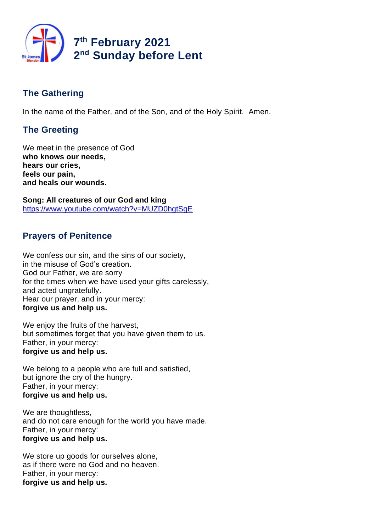

# **The Gathering**

In the name of the Father, and of the Son, and of the Holy Spirit. Amen.

# **The Greeting**

We meet in the presence of God **who knows our needs, hears our cries, feels our pain, and heals our wounds.**

**Song: All creatures of our God and king** https://www.youtube.com/watch?v=MUZD0hgtSgE

## **Prayers of Penitence**

We confess our sin, and the sins of our society, in the misuse of God's creation. God our Father, we are sorry for the times when we have used your gifts carelessly, and acted ungratefully. Hear our prayer, and in your mercy: **forgive us and help us.**

We enjoy the fruits of the harvest, but sometimes forget that you have given them to us. Father, in your mercy: **forgive us and help us.**

We belong to a people who are full and satisfied, but ignore the cry of the hungry. Father, in your mercy: **forgive us and help us.**

We are thoughtless, and do not care enough for the world you have made. Father, in your mercy: **forgive us and help us.**

We store up goods for ourselves alone, as if there were no God and no heaven. Father, in your mercy: **forgive us and help us.**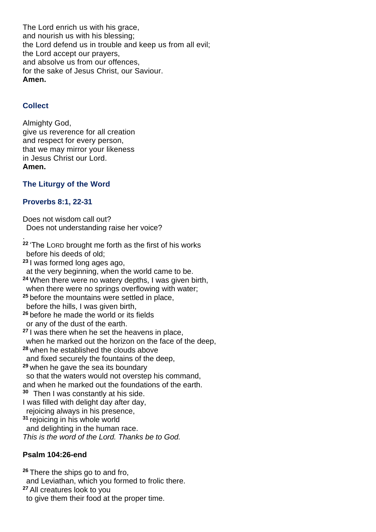The Lord enrich us with his grace, and nourish us with his blessing; the Lord defend us in trouble and keep us from all evil; the Lord accept our prayers, and absolve us from our offences, for the sake of Jesus Christ, our Saviour. **Amen.**

## **Collect**

.

Almighty God, give us reverence for all creation and respect for every person, that we may mirror your likeness in Jesus Christ our Lord. **Amen.**

## **The Liturgy of the Word**

## **Proverbs 8:1, 22-31**

Does not wisdom call out? Does not understanding raise her voice?

**<sup>22</sup>** 'The LORD brought me forth as the first of his works before his deeds of old; **<sup>23</sup>** I was formed long ages ago, at the very beginning, when the world came to be. **<sup>24</sup>** When there were no watery depths, I was given birth, when there were no springs overflowing with water: **<sup>25</sup>** before the mountains were settled in place, before the hills, I was given birth, **<sup>26</sup>** before he made the world or its fields or any of the dust of the earth. **<sup>27</sup>** I was there when he set the heavens in place, when he marked out the horizon on the face of the deep, **<sup>28</sup>** when he established the clouds above and fixed securely the fountains of the deep, **<sup>29</sup>** when he gave the sea its boundary so that the waters would not overstep his command, and when he marked out the foundations of the earth. **30** Then I was constantly at his side. I was filled with delight day after day, rejoicing always in his presence, **<sup>31</sup>** rejoicing in his whole world and delighting in the human race. *This is the word of the Lord. Thanks be to God.*

## **Psalm 104:26-end**

**<sup>26</sup>** There the ships go to and fro, and Leviathan, which you formed to frolic there. **<sup>27</sup>** All creatures look to you to give them their food at the proper time.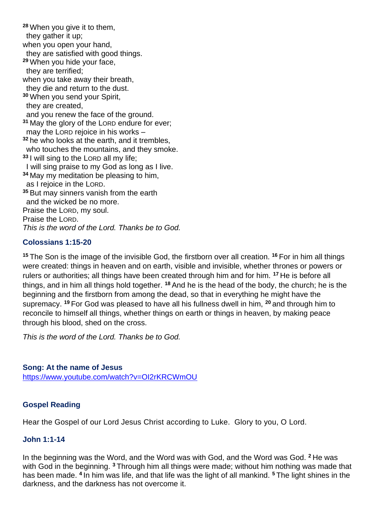**<sup>28</sup>** When you give it to them, they gather it up; when you open your hand, they are satisfied with good things. **<sup>29</sup>** When you hide your face, they are terrified; when you take away their breath, they die and return to the dust. **<sup>30</sup>** When you send your Spirit, they are created, and you renew the face of the ground. **<sup>31</sup>** May the glory of the LORD endure for ever; may the LORD rejoice in his works – **<sup>32</sup>** he who looks at the earth, and it trembles, who touches the mountains, and they smoke. **<sup>33</sup>** I will sing to the LORD all my life; I will sing praise to my God as long as I live. **<sup>34</sup>** May my meditation be pleasing to him, as I rejoice in the LORD. **<sup>35</sup>** But may sinners vanish from the earth and the wicked be no more. Praise the LORD, my soul. Praise the LORD. *This is the word of the Lord. Thanks be to God.*

## **Colossians 1:15-20**

**<sup>15</sup>** The Son is the image of the invisible God, the firstborn over all creation. **<sup>16</sup>** For in him all things were created: things in heaven and on earth, visible and invisible, whether thrones or powers or rulers or authorities; all things have been created through him and for him. **<sup>17</sup>** He is before all things, and in him all things hold together. **<sup>18</sup>** And he is the head of the body, the church; he is the beginning and the firstborn from among the dead, so that in everything he might have the supremacy. **<sup>19</sup>** For God was pleased to have all his fullness dwell in him, **<sup>20</sup>** and through him to reconcile to himself all things, whether things on earth or things in heaven, by making peace through his blood, shed on the cross.

*This is the word of the Lord. Thanks be to God.* 

#### **Song: At the name of Jesus**

https://www.youtube.com/watch?v=OI2rKRCWmOU

#### **Gospel Reading**

Hear the Gospel of our Lord Jesus Christ according to Luke. Glory to you, O Lord.

#### **John 1:1-14**

In the beginning was the Word, and the Word was with God, and the Word was God. **<sup>2</sup>** He was with God in the beginning. **<sup>3</sup>** Through him all things were made; without him nothing was made that has been made. **<sup>4</sup>** In him was life, and that life was the light of all mankind. **<sup>5</sup>** The light shines in the darkness, and the darkness has not overcome it.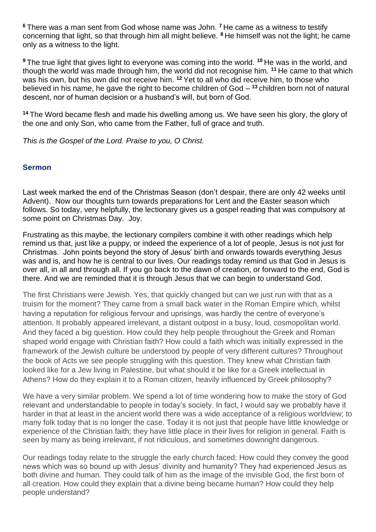**<sup>6</sup>** There was a man sent from God whose name was John. **<sup>7</sup>** He came as a witness to testify concerning that light, so that through him all might believe. **<sup>8</sup>** He himself was not the light; he came only as a witness to the light.

**<sup>9</sup>** The true light that gives light to everyone was coming into the world. **<sup>10</sup>** He was in the world, and though the world was made through him, the world did not recognise him. **<sup>11</sup>** He came to that which was his own, but his own did not receive him. **<sup>12</sup>** Yet to all who did receive him, to those who believed in his name, he gave the right to become children of God – **<sup>13</sup>** children born not of natural descent, nor of human decision or a husband's will, but born of God.

**<sup>14</sup>** The Word became flesh and made his dwelling among us. We have seen his glory, the glory of the one and only Son, who came from the Father, full of grace and truth.

*This is the Gospel of the Lord. Praise to you, O Christ.*

#### **Sermon**

Last week marked the end of the Christmas Season (don't despair, there are only 42 weeks until Advent). Now our thoughts turn towards preparations for Lent and the Easter season which follows. So today, very helpfully, the lectionary gives us a gospel reading that was compulsory at some point on Christmas Day. Joy.

Frustrating as this maybe, the lectionary compilers combine it with other readings which help remind us that, just like a puppy, or indeed the experience of a lot of people, Jesus is not just for Christmas. John points beyond the story of Jesus' birth and onwards towards everything Jesus was and is, and how he is central to our lives. Our readings today remind us that God in Jesus is over all, in all and through all. If you go back to the dawn of creation, or forward to the end, God is there. And we are reminded that it is through Jesus that we can begin to understand God.

The first Christians were Jewish. Yes, that quickly changed but can we just run with that as a truism for the moment? They came from a small back water in the Roman Empire which, whilst having a reputation for religious fervour and uprisings, was hardly the centre of everyone's attention. It probably appeared irrelevant, a distant outpost in a busy, loud, cosmopolitan world. And they faced a big question. How could they help people throughout the Greek and Roman shaped world engage with Christian faith? How could a faith which was initially expressed in the framework of the Jewish culture be understood by people of very different cultures? Throughout the book of Acts we see people struggling with this question. They knew what Christian faith looked like for a Jew living in Palestine, but what should it be like for a Greek intellectual in Athens? How do they explain it to a Roman citizen, heavily influenced by Greek philosophy?

We have a very similar problem. We spend a lot of time wondering how to make the story of God relevant and understandable to people in today's society. In fact, I would say we probably have it harder in that at least in the ancient world there was a wide acceptance of a religious worldview; to many folk today that is no longer the case. Today it is not just that people have little knowledge or experience of the Christian faith; they have little place in their lives for religion in general. Faith is seen by many as being irrelevant, if not ridiculous, and sometimes downright dangerous.

Our readings today relate to the struggle the early church faced: How could they convey the good news which was so bound up with Jesus' divinity and humanity? They had experienced Jesus as both divine and human. They could talk of him as the image of the invisible God, the first born of all creation. How could they explain that a divine being became human? How could they help people understand?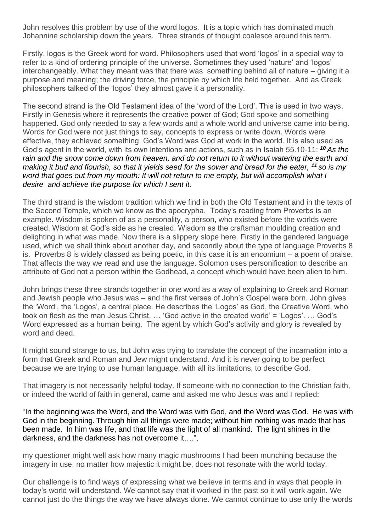John resolves this problem by use of the word logos. It is a topic which has dominated much Johannine scholarship down the years. Three strands of thought coalesce around this term.

Firstly, logos is the Greek word for word. Philosophers used that word 'logos' in a special way to refer to a kind of ordering principle of the universe. Sometimes they used 'nature' and 'logos' interchangeably. What they meant was that there was something behind all of nature – giving it a purpose and meaning; the driving force, the principle by which life held together. And as Greek philosophers talked of the 'logos' they almost gave it a personality.

The second strand is the Old Testament idea of the 'word of the Lord'. This is used in two ways. Firstly in Genesis where it represents the creative power of God; God spoke and something happened. God only needed to say a few words and a whole world and universe came into being. Words for God were not just things to say, concepts to express or write down. Words were effective, they achieved something. God's Word was God at work in the world. It is also used as God's agent in the world, with its own intentions and actions, such as in Isaiah 55.10-11: *<sup>10</sup> As the rain and the snow come down from heaven, and do not return to it without watering the earth and making it bud and flourish, so that it yields seed for the sower and bread for the eater, <sup>11</sup> so is my word that goes out from my mouth: It will not return to me empty, but will accomplish what I desire and achieve the purpose for which I sent it.*

The third strand is the wisdom tradition which we find in both the Old Testament and in the texts of the Second Temple, which we know as the apocrypha. Today's reading from Proverbs is an example. Wisdom is spoken of as a personality, a person, who existed before the worlds were created. Wisdom at God's side as he created. Wisdom as the craftsman moulding creation and delighting in what was made. Now there is a slippery slope here. Firstly in the gendered language used, which we shall think about another day, and secondly about the type of language Proverbs 8 is. Proverbs 8 is widely classed as being poetic, in this case it is an encomium – a poem of praise. That affects the way we read and use the language. Solomon uses personification to describe an attribute of God not a person within the Godhead, a concept which would have been alien to him.

John brings these three strands together in one word as a way of explaining to Greek and Roman and Jewish people who Jesus was – and the first verses of John's Gospel were born. John gives the 'Word', the 'Logos', a central place. He describes the 'Logos' as God, the Creative Word, who took on flesh as the man Jesus Christ. … 'God active in the created world' = 'Logos'. … God's Word expressed as a human being. The agent by which God's activity and glory is revealed by word and deed.

It might sound strange to us, but John was trying to translate the concept of the incarnation into a form that Greek and Roman and Jew might understand. And it is never going to be perfect because we are trying to use human language, with all its limitations, to describe God.

That imagery is not necessarily helpful today. If someone with no connection to the Christian faith, or indeed the world of faith in general, came and asked me who Jesus was and I replied:

"In the beginning was the Word, and the Word was with God, and the Word was God. He was with God in the beginning. Through him all things were made; without him nothing was made that has been made. In him was life, and that life was the light of all mankind. The light shines in the darkness, and the darkness has not overcome it….",

my questioner might well ask how many magic mushrooms I had been munching because the imagery in use, no matter how majestic it might be, does not resonate with the world today.

Our challenge is to find ways of expressing what we believe in terms and in ways that people in today's world will understand. We cannot say that it worked in the past so it will work again. We cannot just do the things the way we have always done. We cannot continue to use only the words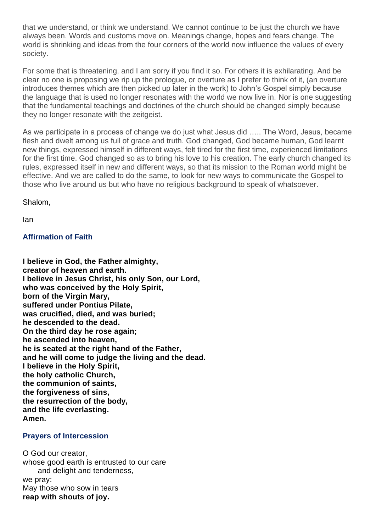that we understand, or think we understand. We cannot continue to be just the church we have always been. Words and customs move on. Meanings change, hopes and fears change. The world is shrinking and ideas from the four corners of the world now influence the values of every society.

For some that is threatening, and I am sorry if you find it so. For others it is exhilarating. And be clear no one is proposing we rip up the prologue, or overture as I prefer to think of it, (an overture introduces themes which are then picked up later in the work) to John's Gospel simply because the language that is used no longer resonates with the world we now live in. Nor is one suggesting that the fundamental teachings and doctrines of the church should be changed simply because they no longer resonate with the zeitgeist.

As we participate in a process of change we do just what Jesus did ….. The Word, Jesus, became flesh and dwelt among us full of grace and truth. God changed, God became human, God learnt new things, expressed himself in different ways, felt tired for the first time, experienced limitations for the first time. God changed so as to bring his love to his creation. The early church changed its rules, expressed itself in new and different ways, so that its mission to the Roman world might be effective. And we are called to do the same, to look for new ways to communicate the Gospel to those who live around us but who have no religious background to speak of whatsoever.

Shalom,

Ian

#### **Affirmation of Faith**

**I believe in God, the Father almighty, creator of heaven and earth. I believe in Jesus Christ, his only Son, our Lord, who was conceived by the Holy Spirit, born of the Virgin Mary, suffered under Pontius Pilate, was crucified, died, and was buried; he descended to the dead. On the third day he rose again; he ascended into heaven, he is seated at the right hand of the Father, and he will come to judge the living and the dead. I believe in the Holy Spirit, the holy catholic Church, the communion of saints, the forgiveness of sins, the resurrection of the body, and the life everlasting. Amen.**

#### **Prayers of Intercession**

O God our creator, whose good earth is entrusted to our care and delight and tenderness, we pray: May those who sow in tears **reap with shouts of joy.**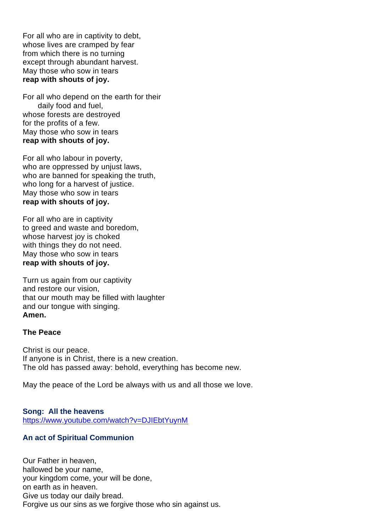For all who are in captivity to debt, whose lives are cramped by fear from which there is no turning except through abundant harvest. May those who sow in tears **reap with shouts of joy.**

For all who depend on the earth for their daily food and fuel, whose forests are destroyed for the profits of a few. May those who sow in tears **reap with shouts of joy.**

For all who labour in poverty, who are oppressed by unjust laws, who are banned for speaking the truth, who long for a harvest of justice. May those who sow in tears **reap with shouts of joy.**

For all who are in captivity to greed and waste and boredom, whose harvest joy is choked with things they do not need. May those who sow in tears **reap with shouts of joy.**

Turn us again from our captivity and restore our vision, that our mouth may be filled with laughter and our tongue with singing. **Amen.**

#### **The Peace**

Christ is our peace. If anyone is in Christ, there is a new creation. The old has passed away: behold, everything has become new.

May the peace of the Lord be always with us and all those we love.

**Song: All the heavens** https://www.youtube.com/watch?v=DJIEbtYuynM

#### **An act of Spiritual Communion**

Our Father in heaven, hallowed be your name, your kingdom come, your will be done, on earth as in heaven. Give us today our daily bread. Forgive us our sins as we forgive those who sin against us.